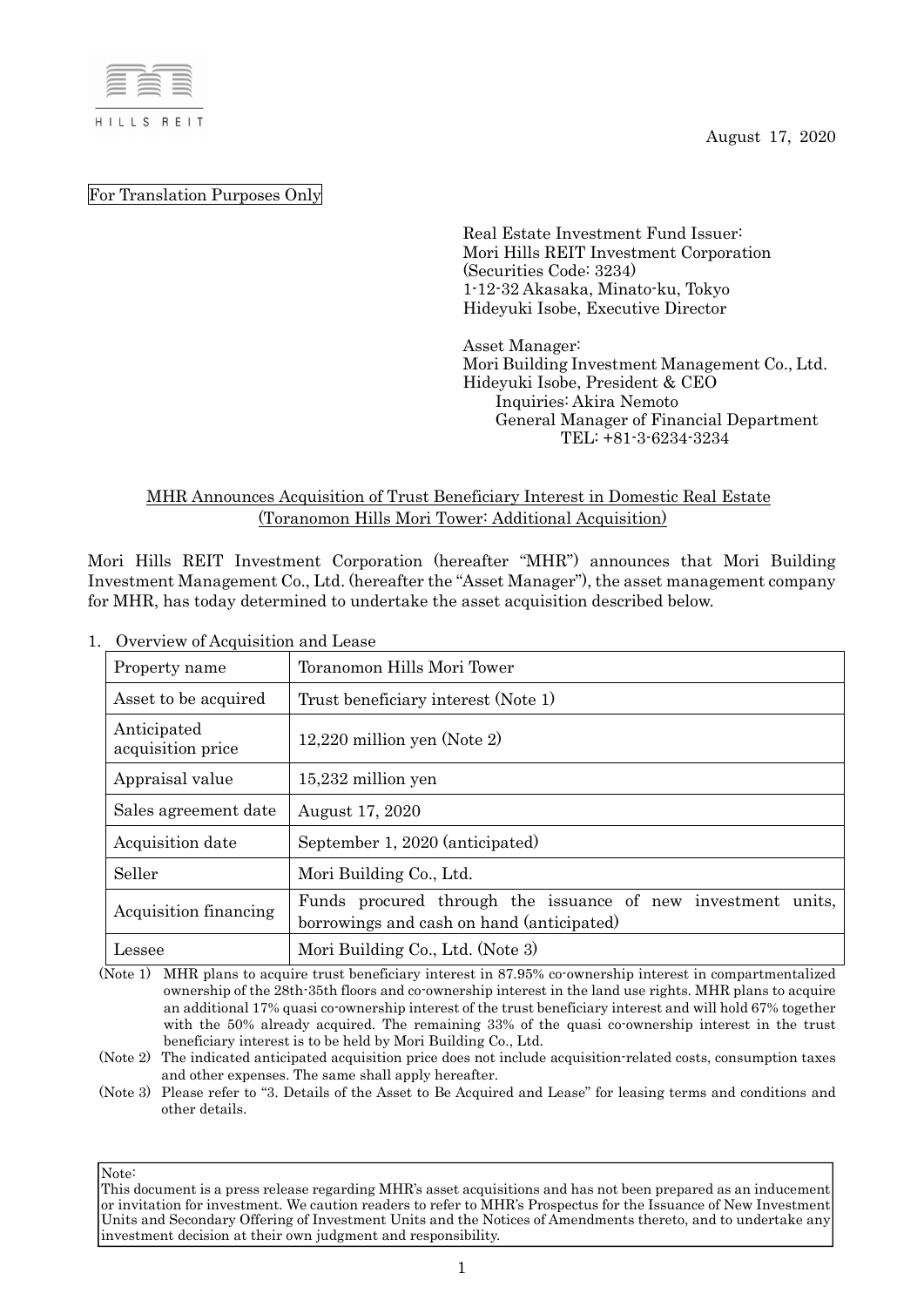

August 17, 2020

For Translation Purposes Only

Real Estate Investment Fund Issuer: Mori Hills REIT Investment Corporation (Securities Code: 3234) 1-12-32 Akasaka, Minato-ku, Tokyo Hideyuki Isobe, Executive Director

Asset Manager: Mori Building Investment Management Co., Ltd. Hideyuki Isobe, President & CEO Inquiries: Akira Nemoto General Manager of Financial Department TEL: +81-3-6234-3234

# MHR Announces Acquisition of Trust Beneficiary Interest in Domestic Real Estate (Toranomon Hills Mori Tower: Additional Acquisition)

Mori Hills REIT Investment Corporation (hereafter "MHR") announces that Mori Building Investment Management Co., Ltd. (hereafter the "Asset Manager"), the asset management company for MHR, has today determined to undertake the asset acquisition described below.

| Overview of Auguistrian and Lease |                                                                                                           |  |  |
|-----------------------------------|-----------------------------------------------------------------------------------------------------------|--|--|
| Property name                     | Toranomon Hills Mori Tower                                                                                |  |  |
| Asset to be acquired              | Trust beneficiary interest (Note 1)                                                                       |  |  |
| Anticipated<br>acquisition price  | $12,220$ million yen (Note 2)                                                                             |  |  |
| Appraisal value                   | $15,232$ million yen                                                                                      |  |  |
| Sales agreement date              | August 17, 2020                                                                                           |  |  |
| Acquisition date                  | September 1, 2020 (anticipated)                                                                           |  |  |
| Seller                            | Mori Building Co., Ltd.                                                                                   |  |  |
| Acquisition financing             | Funds procured through the issuance of new investment units,<br>borrowings and cash on hand (anticipated) |  |  |
| Lessee                            | Mori Building Co., Ltd. (Note 3)                                                                          |  |  |

1. Overview of Acquisition and Lease

(Note 1) MHR plans to acquire trust beneficiary interest in 87.95% co-ownership interest in compartmentalized ownership of the 28th-35th floors and co-ownership interest in the land use rights. MHR plans to acquire an additional 17% quasi co-ownership interest of the trust beneficiary interest and will hold 67% together with the 50% already acquired. The remaining 33% of the quasi co-ownership interest in the trust beneficiary interest is to be held by Mori Building Co., Ltd.

(Note 2) The indicated anticipated acquisition price does not include acquisition-related costs, consumption taxes and other expenses. The same shall apply hereafter.

(Note 3) Please refer to "3. Details of the Asset to Be Acquired and Lease" for leasing terms and conditions and other details.

This document is a press release regarding MHR's asset acquisitions and has not been prepared as an inducement or invitation for investment. We caution readers to refer to MHR's Prospectus for the Issuance of New Investment Units and Secondary Offering of Investment Units and the Notices of Amendments thereto, and to undertake any investment decision at their own judgment and responsibility.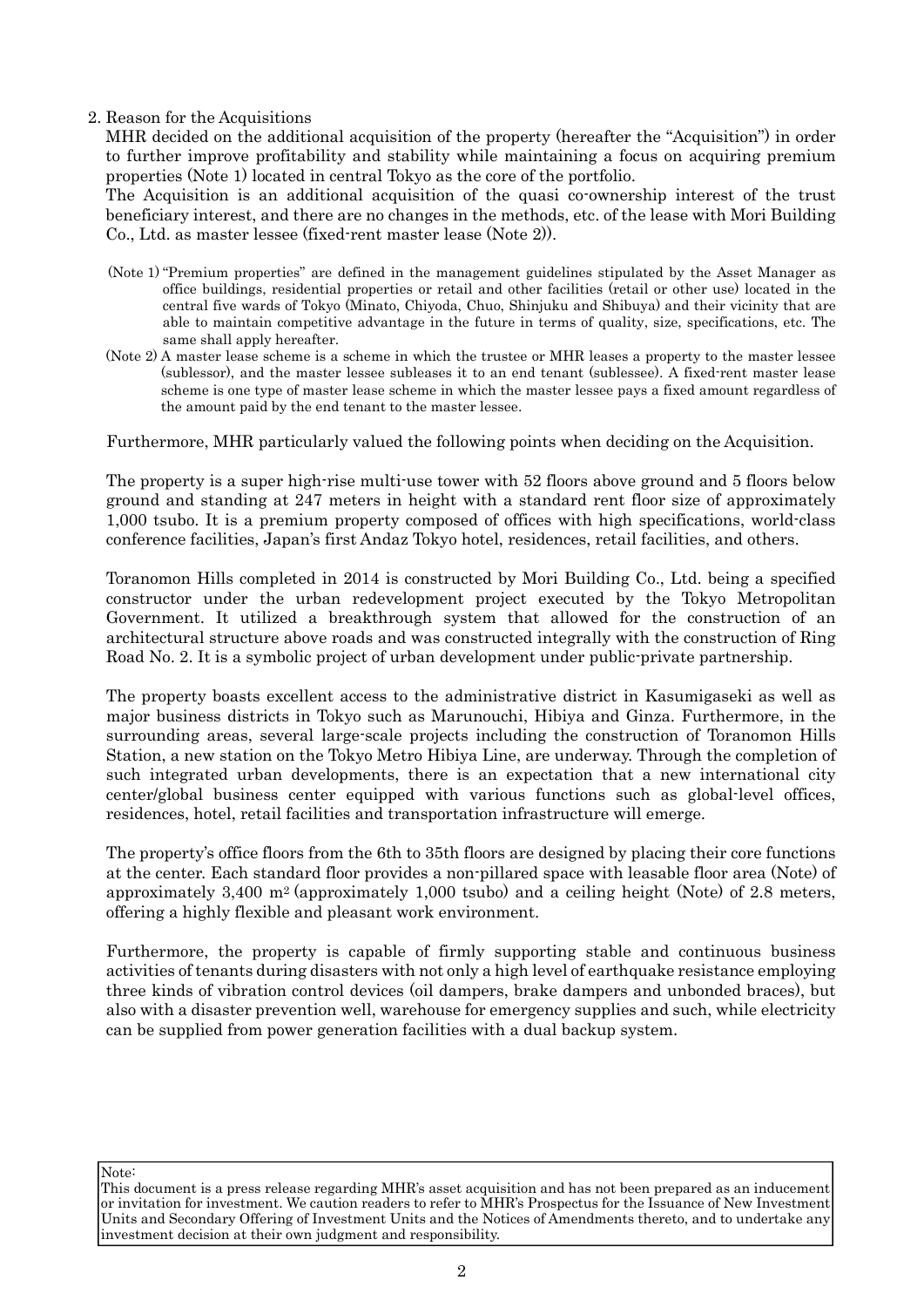#### 2. Reason for the Acquisitions

MHR decided on the additional acquisition of the property (hereafter the "Acquisition") in order to further improve profitability and stability while maintaining a focus on acquiring premium properties (Note 1) located in central Tokyo as the core of the portfolio.

The Acquisition is an additional acquisition of the quasi co-ownership interest of the trust beneficiary interest, and there are no changes in the methods, etc. of the lease with Mori Building Co., Ltd. as master lessee (fixed-rent master lease (Note 2)).

- (Note 1) "Premium properties" are defined in the management guidelines stipulated by the Asset Manager as office buildings, residential properties or retail and other facilities (retail or other use) located in the central five wards of Tokyo (Minato, Chiyoda, Chuo, Shinjuku and Shibuya) and their vicinity that are able to maintain competitive advantage in the future in terms of quality, size, specifications, etc. The same shall apply hereafter.
- (Note 2) A master lease scheme is a scheme in which the trustee or MHR leases a property to the master lessee (sublessor), and the master lessee subleases it to an end tenant (sublessee). A fixed-rent master lease scheme is one type of master lease scheme in which the master lessee pays a fixed amount regardless of the amount paid by the end tenant to the master lessee.

Furthermore, MHR particularly valued the following points when deciding on the Acquisition.

The property is a super high-rise multi-use tower with 52 floors above ground and 5 floors below ground and standing at 247 meters in height with a standard rent floor size of approximately 1,000 tsubo. It is a premium property composed of offices with high specifications, world-class conference facilities, Japan's first Andaz Tokyo hotel, residences, retail facilities, and others.

Toranomon Hills completed in 2014 is constructed by Mori Building Co., Ltd. being a specified constructor under the urban redevelopment project executed by the Tokyo Metropolitan Government. It utilized a breakthrough system that allowed for the construction of an architectural structure above roads and was constructed integrally with the construction of Ring Road No. 2. It is a symbolic project of urban development under public-private partnership.

The property boasts excellent access to the administrative district in Kasumigaseki as well as major business districts in Tokyo such as Marunouchi, Hibiya and Ginza. Furthermore, in the surrounding areas, several large-scale projects including the construction of Toranomon Hills Station, a new station on the Tokyo Metro Hibiya Line, are underway. Through the completion of such integrated urban developments, there is an expectation that a new international city center/global business center equipped with various functions such as global-level offices, residences, hotel, retail facilities and transportation infrastructure will emerge.

The property's office floors from the 6th to 35th floors are designed by placing their core functions at the center. Each standard floor provides a non-pillared space with leasable floor area (Note) of approximately 3,400 m<sup>2</sup> (approximately 1,000 tsubo) and a ceiling height (Note) of 2.8 meters, offering a highly flexible and pleasant work environment.

Furthermore, the property is capable of firmly supporting stable and continuous business activities of tenants during disasters with not only a high level of earthquake resistance employing three kinds of vibration control devices (oil dampers, brake dampers and unbonded braces), but also with a disaster prevention well, warehouse for emergency supplies and such, while electricity can be supplied from power generation facilities with a dual backup system.

This document is a press release regarding MHR's asset acquisition and has not been prepared as an inducement or invitation for investment. We caution readers to refer to MHR's Prospectus for the Issuance of New Investment Units and Secondary Offering of Investment Units and the Notices of Amendments thereto, and to undertake any investment decision at their own judgment and responsibility.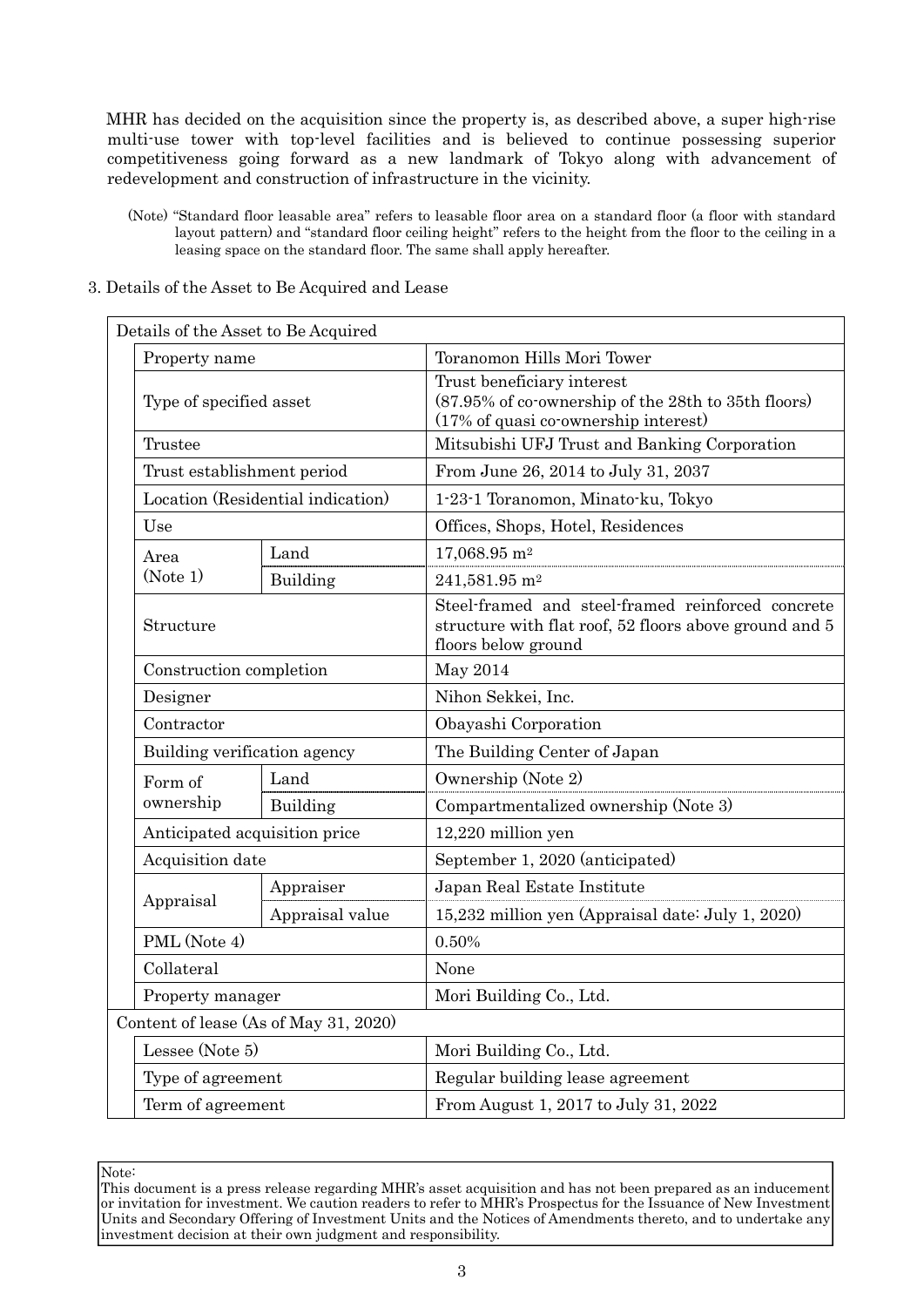MHR has decided on the acquisition since the property is, as described above, a super high-rise multi-use tower with top-level facilities and is believed to continue possessing superior competitiveness going forward as a new landmark of Tokyo along with advancement of redevelopment and construction of infrastructure in the vicinity.

- (Note) "Standard floor leasable area" refers to leasable floor area on a standard floor (a floor with standard layout pattern) and "standard floor ceiling height" refers to the height from the floor to the ceiling in a leasing space on the standard floor. The same shall apply hereafter.
- 3. Details of the Asset to Be Acquired and Lease

|  | Details of the Asset to Be Acquired |                                       |                                                                                                                                    |  |  |  |
|--|-------------------------------------|---------------------------------------|------------------------------------------------------------------------------------------------------------------------------------|--|--|--|
|  | Property name                       |                                       | Toranomon Hills Mori Tower                                                                                                         |  |  |  |
|  | Type of specified asset<br>Trustee  |                                       | Trust beneficiary interest<br>(87.95% of co-ownership of the 28th to 35th floors)<br>(17% of quasi co-ownership interest)          |  |  |  |
|  |                                     |                                       | Mitsubishi UFJ Trust and Banking Corporation                                                                                       |  |  |  |
|  | Trust establishment period          |                                       | From June 26, 2014 to July 31, 2037                                                                                                |  |  |  |
|  |                                     | Location (Residential indication)     | 1-23-1 Toranomon, Minato-ku, Tokyo                                                                                                 |  |  |  |
|  | Use                                 |                                       | Offices, Shops, Hotel, Residences                                                                                                  |  |  |  |
|  | Area                                | Land                                  | $17,068.95$ m <sup>2</sup>                                                                                                         |  |  |  |
|  | (Note 1)                            | Building                              | 241,581.95 m <sup>2</sup>                                                                                                          |  |  |  |
|  | Structure                           |                                       | Steel-framed and steel-framed reinforced concrete<br>structure with flat roof, 52 floors above ground and 5<br>floors below ground |  |  |  |
|  | Construction completion             |                                       | May 2014                                                                                                                           |  |  |  |
|  | Designer                            |                                       | Nihon Sekkei, Inc.                                                                                                                 |  |  |  |
|  | Contractor                          |                                       | Obayashi Corporation                                                                                                               |  |  |  |
|  | Building verification agency        |                                       | The Building Center of Japan                                                                                                       |  |  |  |
|  | Form of                             | Land                                  | Ownership (Note 2)                                                                                                                 |  |  |  |
|  | ownership                           | Building                              | Compartmentalized ownership (Note 3)                                                                                               |  |  |  |
|  | Anticipated acquisition price       |                                       | 12,220 million yen                                                                                                                 |  |  |  |
|  | Acquisition date                    |                                       | September 1, 2020 (anticipated)                                                                                                    |  |  |  |
|  |                                     | Appraiser                             | Japan Real Estate Institute                                                                                                        |  |  |  |
|  | Appraisal                           | Appraisal value                       | 15,232 million yen (Appraisal date: July 1, 2020)                                                                                  |  |  |  |
|  | PML (Note 4)                        |                                       | 0.50%                                                                                                                              |  |  |  |
|  | Collateral                          |                                       | None                                                                                                                               |  |  |  |
|  | Property manager                    |                                       | Mori Building Co., Ltd.                                                                                                            |  |  |  |
|  |                                     | Content of lease (As of May 31, 2020) |                                                                                                                                    |  |  |  |
|  | Lessee (Note 5)                     |                                       | Mori Building Co., Ltd.                                                                                                            |  |  |  |
|  | Type of agreement                   |                                       | Regular building lease agreement                                                                                                   |  |  |  |
|  | Term of agreement                   |                                       | From August 1, 2017 to July 31, 2022                                                                                               |  |  |  |

Note:

This document is a press release regarding MHR's asset acquisition and has not been prepared as an inducement or invitation for investment. We caution readers to refer to MHR's Prospectus for the Issuance of New Investment Units and Secondary Offering of Investment Units and the Notices of Amendments thereto, and to undertake any investment decision at their own judgment and responsibility.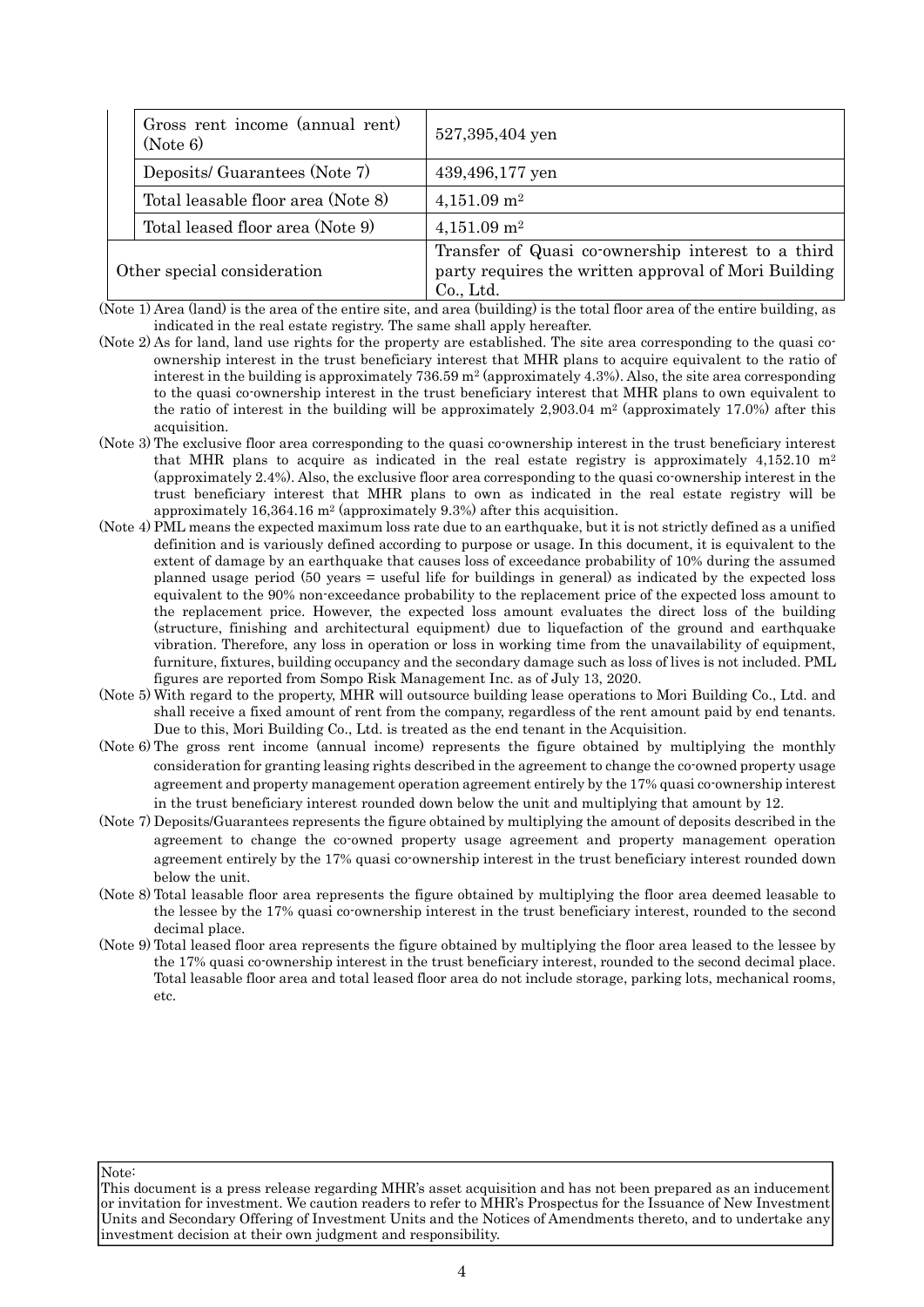|                             | Gross rent income (annual rent)<br>(Note 6) | 527,395,404 yen                                                                                                         |
|-----------------------------|---------------------------------------------|-------------------------------------------------------------------------------------------------------------------------|
|                             | Deposits/ Guarantees (Note 7)               | 439,496,177 yen                                                                                                         |
|                             | Total leasable floor area (Note 8)          | $4,151.09$ m <sup>2</sup>                                                                                               |
|                             | Total leased floor area (Note 9)            | $4,151.09$ m <sup>2</sup>                                                                                               |
| Other special consideration |                                             | Transfer of Quasi co-ownership interest to a third<br>party requires the written approval of Mori Building<br>Co., Ltd. |

(Note 1) Area (land) is the area of the entire site, and area (building) is the total floor area of the entire building, as indicated in the real estate registry. The same shall apply hereafter.

- (Note 2) As for land, land use rights for the property are established. The site area corresponding to the quasi coownership interest in the trust beneficiary interest that MHR plans to acquire equivalent to the ratio of interest in the building is approximately  $736.59 \text{ m}^2$  (approximately 4.3%). Also, the site area corresponding to the quasi co-ownership interest in the trust beneficiary interest that MHR plans to own equivalent to the ratio of interest in the building will be approximately  $2,903.04$  m<sup>2</sup> (approximately 17.0%) after this acquisition.
- (Note 3) The exclusive floor area corresponding to the quasi co-ownership interest in the trust beneficiary interest that MHR plans to acquire as indicated in the real estate registry is approximately  $4,152.10 \text{ m}^2$ (approximately 2.4%). Also, the exclusive floor area corresponding to the quasi co-ownership interest in the trust beneficiary interest that MHR plans to own as indicated in the real estate registry will be approximately 16,364.16 m<sup>2</sup> (approximately 9.3%) after this acquisition.
- (Note 4) PML means the expected maximum loss rate due to an earthquake, but it is not strictly defined as a unified definition and is variously defined according to purpose or usage. In this document, it is equivalent to the extent of damage by an earthquake that causes loss of exceedance probability of 10% during the assumed planned usage period (50 years = useful life for buildings in general) as indicated by the expected loss equivalent to the 90% non-exceedance probability to the replacement price of the expected loss amount to the replacement price. However, the expected loss amount evaluates the direct loss of the building (structure, finishing and architectural equipment) due to liquefaction of the ground and earthquake vibration. Therefore, any loss in operation or loss in working time from the unavailability of equipment, furniture, fixtures, building occupancy and the secondary damage such as loss of lives is not included. PML figures are reported from Sompo Risk Management Inc. as of July 13, 2020.
- (Note 5) With regard to the property, MHR will outsource building lease operations to Mori Building Co., Ltd. and shall receive a fixed amount of rent from the company, regardless of the rent amount paid by end tenants. Due to this, Mori Building Co., Ltd. is treated as the end tenant in the Acquisition.
- (Note 6) The gross rent income (annual income) represents the figure obtained by multiplying the monthly consideration for granting leasing rights described in the agreement to change the co-owned property usage agreement and property management operation agreement entirely by the 17% quasi co-ownership interest in the trust beneficiary interest rounded down below the unit and multiplying that amount by 12.
- (Note 7) Deposits/Guarantees represents the figure obtained by multiplying the amount of deposits described in the agreement to change the co-owned property usage agreement and property management operation agreement entirely by the 17% quasi co-ownership interest in the trust beneficiary interest rounded down below the unit.
- (Note 8) Total leasable floor area represents the figure obtained by multiplying the floor area deemed leasable to the lessee by the 17% quasi co-ownership interest in the trust beneficiary interest, rounded to the second decimal place.
- (Note 9) Total leased floor area represents the figure obtained by multiplying the floor area leased to the lessee by the 17% quasi co-ownership interest in the trust beneficiary interest, rounded to the second decimal place. Total leasable floor area and total leased floor area do not include storage, parking lots, mechanical rooms, etc.

This document is a press release regarding MHR's asset acquisition and has not been prepared as an inducement or invitation for investment. We caution readers to refer to MHR's Prospectus for the Issuance of New Investment Units and Secondary Offering of Investment Units and the Notices of Amendments thereto, and to undertake any investment decision at their own judgment and responsibility.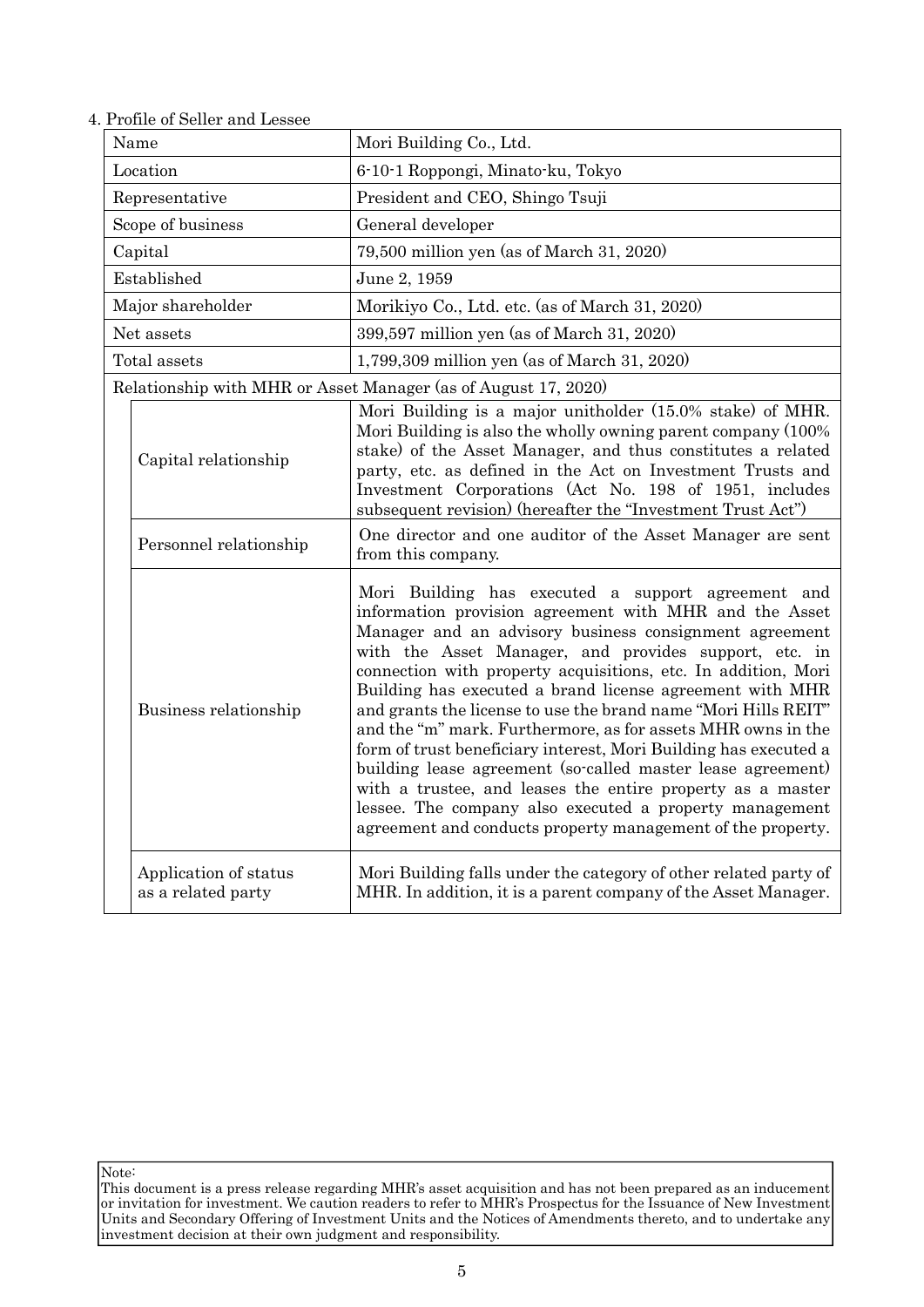| Name                 |                                             | Mori Building Co., Ltd.                                                                                                                                                                                                                                                                                                                                                                                                                                                                                                                                                                                                                                                                                                                                                                                                   |  |  |
|----------------------|---------------------------------------------|---------------------------------------------------------------------------------------------------------------------------------------------------------------------------------------------------------------------------------------------------------------------------------------------------------------------------------------------------------------------------------------------------------------------------------------------------------------------------------------------------------------------------------------------------------------------------------------------------------------------------------------------------------------------------------------------------------------------------------------------------------------------------------------------------------------------------|--|--|
| Location             |                                             | 6-10-1 Roppongi, Minato-ku, Tokyo                                                                                                                                                                                                                                                                                                                                                                                                                                                                                                                                                                                                                                                                                                                                                                                         |  |  |
|                      | Representative                              | President and CEO, Shingo Tsuji                                                                                                                                                                                                                                                                                                                                                                                                                                                                                                                                                                                                                                                                                                                                                                                           |  |  |
|                      | Scope of business                           | General developer                                                                                                                                                                                                                                                                                                                                                                                                                                                                                                                                                                                                                                                                                                                                                                                                         |  |  |
|                      | Capital                                     | 79,500 million yen (as of March 31, 2020)                                                                                                                                                                                                                                                                                                                                                                                                                                                                                                                                                                                                                                                                                                                                                                                 |  |  |
|                      | Established                                 | June 2, 1959                                                                                                                                                                                                                                                                                                                                                                                                                                                                                                                                                                                                                                                                                                                                                                                                              |  |  |
|                      | Major shareholder                           | Morikiyo Co., Ltd. etc. (as of March 31, 2020)                                                                                                                                                                                                                                                                                                                                                                                                                                                                                                                                                                                                                                                                                                                                                                            |  |  |
|                      | Net assets                                  | 399,597 million yen (as of March 31, 2020)                                                                                                                                                                                                                                                                                                                                                                                                                                                                                                                                                                                                                                                                                                                                                                                |  |  |
|                      | Total assets                                | 1,799,309 million yen (as of March 31, 2020)                                                                                                                                                                                                                                                                                                                                                                                                                                                                                                                                                                                                                                                                                                                                                                              |  |  |
|                      |                                             | Relationship with MHR or Asset Manager (as of August 17, 2020)                                                                                                                                                                                                                                                                                                                                                                                                                                                                                                                                                                                                                                                                                                                                                            |  |  |
| Capital relationship |                                             | Mori Building is a major unitholder (15.0% stake) of MHR.<br>Mori Building is also the wholly owning parent company (100%)<br>stake) of the Asset Manager, and thus constitutes a related<br>party, etc. as defined in the Act on Investment Trusts and<br>Investment Corporations (Act No. 198 of 1951, includes<br>subsequent revision) (hereafter the "Investment Trust Act")                                                                                                                                                                                                                                                                                                                                                                                                                                          |  |  |
|                      | Personnel relationship                      | One director and one auditor of the Asset Manager are sent<br>from this company.                                                                                                                                                                                                                                                                                                                                                                                                                                                                                                                                                                                                                                                                                                                                          |  |  |
|                      | Business relationship                       | Mori Building has executed a support agreement and<br>information provision agreement with MHR and the Asset<br>Manager and an advisory business consignment agreement<br>with the Asset Manager, and provides support, etc. in<br>connection with property acquisitions, etc. In addition, Mori<br>Building has executed a brand license agreement with MHR<br>and grants the license to use the brand name "Mori Hills REIT"<br>and the "m" mark. Furthermore, as for assets MHR owns in the<br>form of trust beneficiary interest, Mori Building has executed a<br>building lease agreement (so-called master lease agreement)<br>with a trustee, and leases the entire property as a master<br>lessee. The company also executed a property management<br>agreement and conducts property management of the property. |  |  |
|                      | Application of status<br>as a related party | Mori Building falls under the category of other related party of<br>MHR. In addition, it is a parent company of the Asset Manager.                                                                                                                                                                                                                                                                                                                                                                                                                                                                                                                                                                                                                                                                                        |  |  |

4. Profile of Seller and Lessee

This document is a press release regarding MHR's asset acquisition and has not been prepared as an inducement or invitation for investment. We caution readers to refer to MHR's Prospectus for the Issuance of New Investment Units and Secondary Offering of Investment Units and the Notices of Amendments thereto, and to undertake any investment decision at their own judgment and responsibility.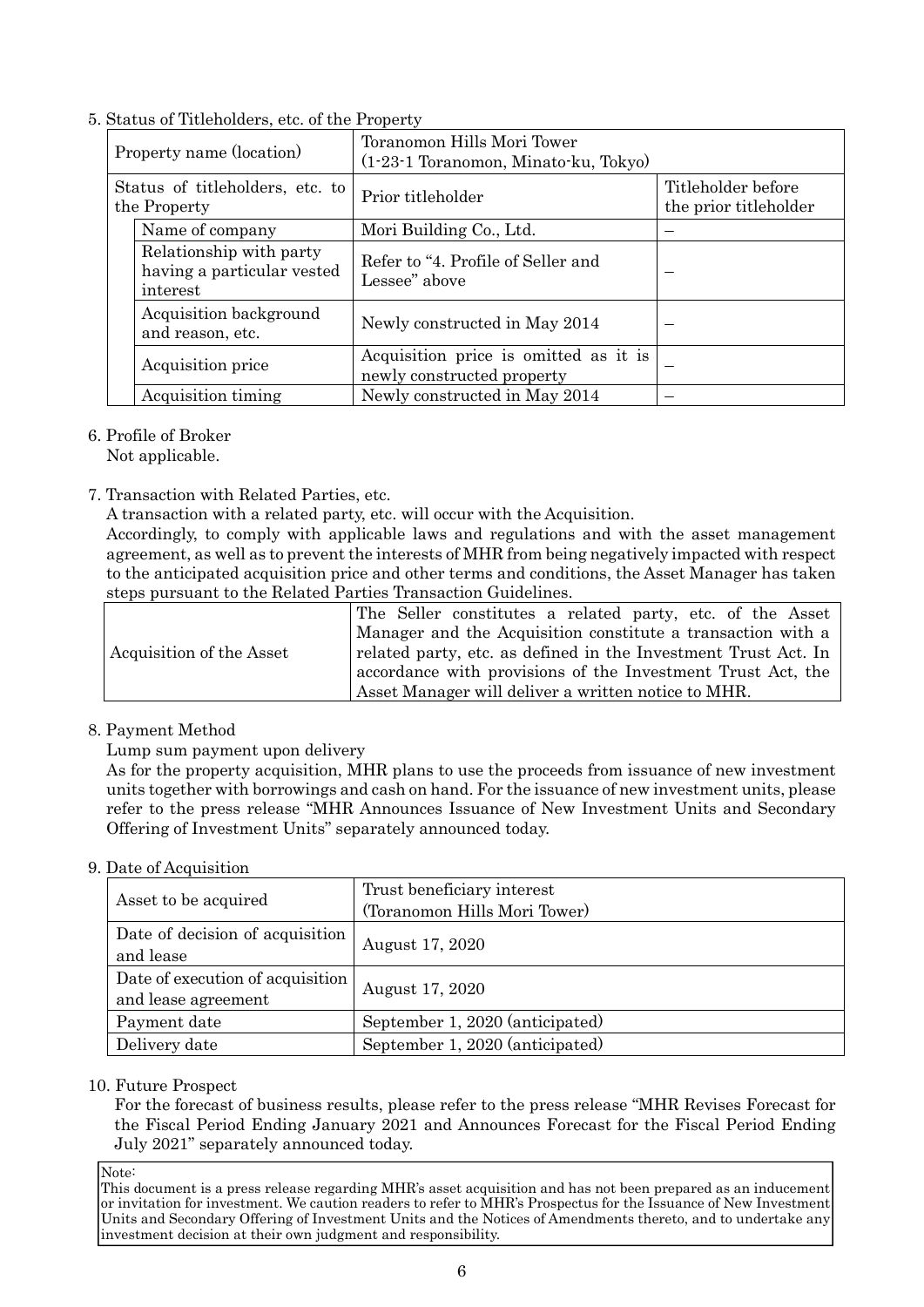5. Status of Titleholders, etc. of the Property

| Property name (location)                        |                                                                   | Toranomon Hills Mori Tower<br>$(1-23-1)$ Toranomon, Minato-ku, Tokyo) |                                             |  |
|-------------------------------------------------|-------------------------------------------------------------------|-----------------------------------------------------------------------|---------------------------------------------|--|
| Status of titleholders, etc. to<br>the Property |                                                                   | Prior titleholder                                                     | Titleholder before<br>the prior titleholder |  |
|                                                 | Name of company                                                   | Mori Building Co., Ltd.                                               |                                             |  |
|                                                 | Relationship with party<br>having a particular vested<br>interest | Refer to "4. Profile of Seller and<br>Lessee" above                   |                                             |  |
|                                                 | Acquisition background<br>and reason, etc.                        | Newly constructed in May 2014                                         |                                             |  |
|                                                 | Acquisition price                                                 | Acquisition price is omitted as it is<br>newly constructed property   |                                             |  |
|                                                 | Acquisition timing                                                | Newly constructed in May 2014                                         |                                             |  |

- 6. Profile of Broker
- Not applicable.
- 7. Transaction with Related Parties, etc.

A transaction with a related party, etc. will occur with the Acquisition.

Accordingly, to comply with applicable laws and regulations and with the asset management agreement, as well as to prevent the interests of MHR from being negatively impacted with respect to the anticipated acquisition price and other terms and conditions, the Asset Manager has taken steps pursuant to the Related Parties Transaction Guidelines.

|                          | The Seller constitutes a related party, etc. of the Asset      |  |  |
|--------------------------|----------------------------------------------------------------|--|--|
|                          | Manager and the Acquisition constitute a transaction with a    |  |  |
| Acquisition of the Asset | related party, etc. as defined in the Investment Trust Act. In |  |  |
|                          | accordance with provisions of the Investment Trust Act, the    |  |  |
|                          | Asset Manager will deliver a written notice to MHR.            |  |  |

# 8. Payment Method

Lump sum payment upon delivery

As for the property acquisition, MHR plans to use the proceeds from issuance of new investment units together with borrowings and cash on hand. For the issuance of new investment units, please refer to the press release "MHR Announces Issuance of New Investment Units and Secondary Offering of Investment Units" separately announced today.

# 9. Date of Acquisition

| Asset to be acquired                                    | Trust beneficiary interest<br>(Toranomon Hills Mori Tower) |
|---------------------------------------------------------|------------------------------------------------------------|
| Date of decision of acquisition<br>and lease            | August 17, 2020                                            |
| Date of execution of acquisition<br>and lease agreement | August 17, 2020                                            |
| Payment date                                            | September 1, 2020 (anticipated)                            |
| Delivery date                                           | September 1, 2020 (anticipated)                            |

# 10. Future Prospect

For the forecast of business results, please refer to the press release "MHR Revises Forecast for the Fiscal Period Ending January 2021 and Announces Forecast for the Fiscal Period Ending July 2021" separately announced today.

Note: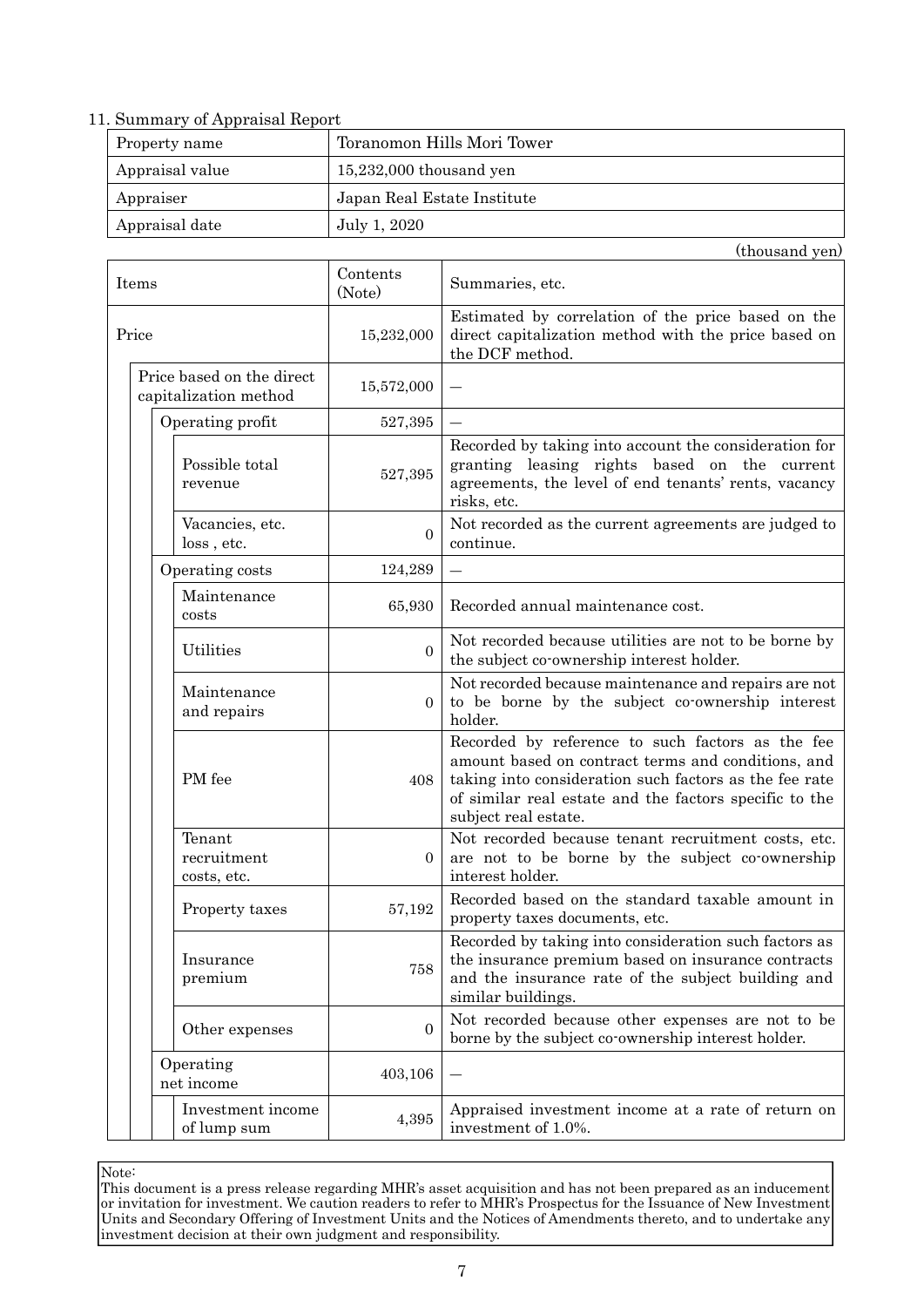### 11. Summary of Appraisal Report

| Property name   | Toranomon Hills Mori Tower  |
|-----------------|-----------------------------|
| Appraisal value | $15,232,000$ thousand yen   |
| Appraiser       | Japan Real Estate Institute |
| Appraisal date  | July 1, 2020                |

(thousand yen)

Items Contents (Note) Summaries, etc. Price 15,232,000 Estimated by correlation of the price based on the direct capitalization method with the price based on the DCF method. Price based on the direct capitalization method 15,572,000 ― Operating profit  $527,395$ Possible total revenue 527,395 Recorded by taking into account the consideration for granting leasing rights based on the current agreements, the level of end tenants' rents, vacancy risks, etc. Vacancies, etc. loss , etc.  $\theta$ Not recorded as the current agreements are judged to continue. Operating costs  $124,289$  — Maintenance costs 65,930 Recorded annual maintenance cost. Utilities 0 Not recorded because utilities are not to be borne by the subject co-ownership interest holder. Maintenance and repairs  $\theta$ Not recorded because maintenance and repairs are not to be borne by the subject co-ownership interest holder. PM fee 408 Recorded by reference to such factors as the fee amount based on contract terms and conditions, and taking into consideration such factors as the fee rate of similar real estate and the factors specific to the subject real estate. Tenant recruitment costs, etc. 0 Not recorded because tenant recruitment costs, etc. are not to be borne by the subject co-ownership interest holder. Property taxes 57,192 Recorded based on the standard taxable amount in property taxes documents, etc. Insurance premium 758 Recorded by taking into consideration such factors as the insurance premium based on insurance contracts and the insurance rate of the subject building and similar buildings. Other expenses 0 Not recorded because other expenses are not to be borne by the subject co-ownership interest holder. Operating net income 403,106 ― Investment income of lump sum 4,395 Appraised investment income at a rate of return on investment of 1.0%.

Note: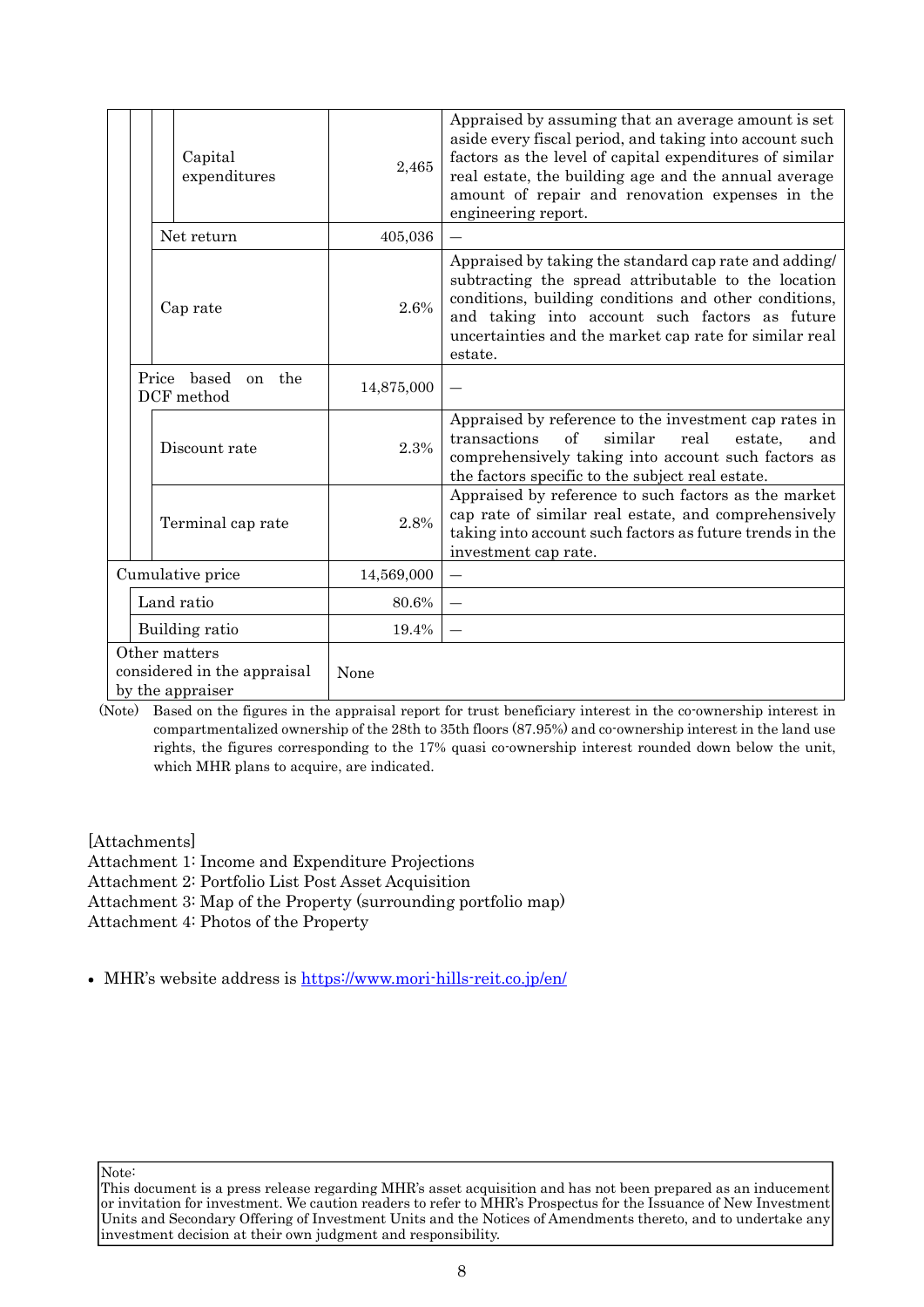| Capital<br>expenditures                                          | 2,465      | Appraised by assuming that an average amount is set<br>aside every fiscal period, and taking into account such<br>factors as the level of capital expenditures of similar<br>real estate, the building age and the annual average<br>amount of repair and renovation expenses in the<br>engineering report. |
|------------------------------------------------------------------|------------|-------------------------------------------------------------------------------------------------------------------------------------------------------------------------------------------------------------------------------------------------------------------------------------------------------------|
| Net return                                                       | 405,036    | $\equiv$                                                                                                                                                                                                                                                                                                    |
| Cap rate                                                         | 2.6%       | Appraised by taking the standard cap rate and adding/<br>subtracting the spread attributable to the location<br>conditions, building conditions and other conditions,<br>and taking into account such factors as future<br>uncertainties and the market cap rate for similar real<br>estate.                |
| $_{\rm based}$<br>Price<br>the<br><sub>on</sub><br>DCF method    | 14,875,000 |                                                                                                                                                                                                                                                                                                             |
| Discount rate                                                    | 2.3%       | Appraised by reference to the investment cap rates in<br>of<br>similar<br>transactions<br>real<br>estate,<br>and<br>comprehensively taking into account such factors as<br>the factors specific to the subject real estate.                                                                                 |
| Terminal cap rate                                                | 2.8%       | Appraised by reference to such factors as the market<br>cap rate of similar real estate, and comprehensively<br>taking into account such factors as future trends in the<br>investment cap rate.                                                                                                            |
| Cumulative price                                                 | 14,569,000 |                                                                                                                                                                                                                                                                                                             |
| Land ratio                                                       | 80.6%      |                                                                                                                                                                                                                                                                                                             |
| Building ratio                                                   | 19.4%      |                                                                                                                                                                                                                                                                                                             |
| Other matters<br>considered in the appraisal<br>by the appraiser | None       |                                                                                                                                                                                                                                                                                                             |

(Note) Based on the figures in the appraisal report for trust beneficiary interest in the co-ownership interest in compartmentalized ownership of the 28th to 35th floors (87.95%) and co-ownership interest in the land use rights, the figures corresponding to the 17% quasi co-ownership interest rounded down below the unit, which MHR plans to acquire, are indicated.

[Attachments]

Attachment 1: Income and Expenditure Projections

Attachment 2: Portfolio List Post Asset Acquisition

Attachment 3: Map of the Property (surrounding portfolio map)

Attachment 4: Photos of the Property

MHR's website address is https://www.mori-hills-reit.co.jp/en/

This document is a press release regarding MHR's asset acquisition and has not been prepared as an inducement or invitation for investment. We caution readers to refer to MHR's Prospectus for the Issuance of New Investment Units and Secondary Offering of Investment Units and the Notices of Amendments thereto, and to undertake any investment decision at their own judgment and responsibility.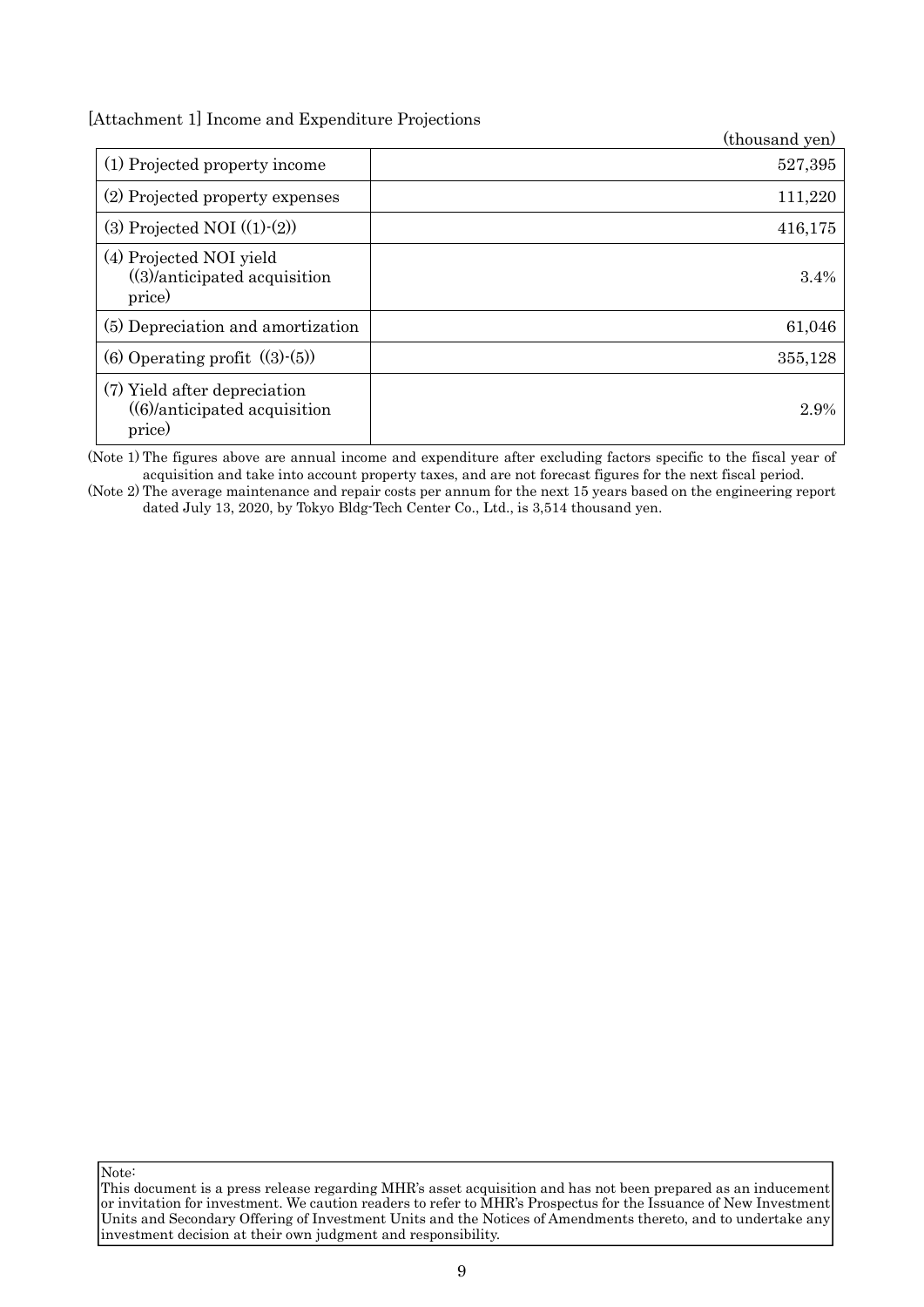[Attachment 1] Income and Expenditure Projections

|                                                                                  | (thousand yen) |
|----------------------------------------------------------------------------------|----------------|
| (1) Projected property income                                                    | 527,395        |
| (2) Projected property expenses                                                  | 111,220        |
| (3) Projected NOI $((1)-(2))$                                                    | 416,175        |
| (4) Projected NOI yield<br>$((3)/\text{anticipated acquisition})$<br>price)      | 3.4%           |
| (5) Depreciation and amortization                                                | 61,046         |
| (6) Operating profit $((3)-(5))$                                                 | 355,128        |
| (7) Yield after depreciation<br>$((6)/\text{anticipated acquisition})$<br>price) | 2.9%           |

(Note 1) The figures above are annual income and expenditure after excluding factors specific to the fiscal year of acquisition and take into account property taxes, and are not forecast figures for the next fiscal period.

(Note 2) The average maintenance and repair costs per annum for the next 15 years based on the engineering report dated July 13, 2020, by Tokyo Bldg-Tech Center Co., Ltd., is 3,514 thousand yen.

This document is a press release regarding MHR's asset acquisition and has not been prepared as an inducement or invitation for investment. We caution readers to refer to MHR's Prospectus for the Issuance of New Investment Units and Secondary Offering of Investment Units and the Notices of Amendments thereto, and to undertake any investment decision at their own judgment and responsibility.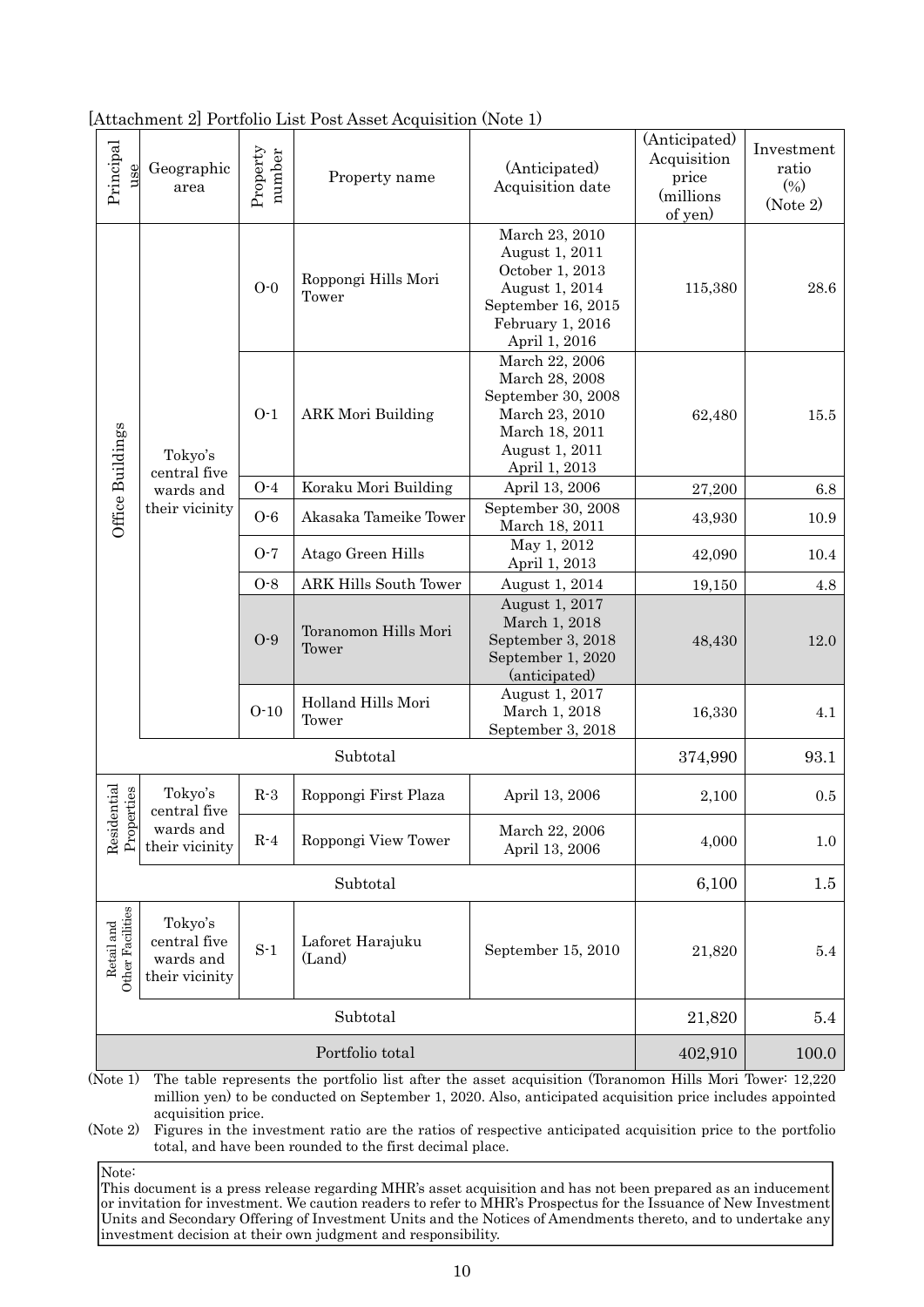| Principal<br>use               | Geographic<br>area                                     | Property<br>number | Property name                 | (Anticipated)<br>Acquisition date                                                                                                | (Anticipated)<br>Acquisition<br>price<br>(millions)<br>of yen) | Investment<br>ratio<br>(0/0)<br>(Note 2) |
|--------------------------------|--------------------------------------------------------|--------------------|-------------------------------|----------------------------------------------------------------------------------------------------------------------------------|----------------------------------------------------------------|------------------------------------------|
|                                | Tokyo's<br>central five                                | $O-0$              | Roppongi Hills Mori<br>Tower  | March 23, 2010<br>August 1, 2011<br>October 1, 2013<br>August 1, 2014<br>September 16, 2015<br>February 1, 2016<br>April 1, 2016 | 115,380                                                        | 28.6                                     |
| Office Buildings               |                                                        | $O-1$              | <b>ARK Mori Building</b>      | March 22, 2006<br>March 28, 2008<br>September 30, 2008<br>March 23, 2010<br>March 18, 2011<br>August 1, 2011<br>April 1, 2013    | 62,480                                                         | 15.5                                     |
|                                | wards and                                              | $O-4$              | Koraku Mori Building          | April 13, 2006                                                                                                                   | 27,200                                                         | 6.8                                      |
|                                | their vicinity                                         | $O - 6$            | Akasaka Tameike Tower         | September 30, 2008<br>March 18, 2011                                                                                             | 43,930                                                         | 10.9                                     |
|                                |                                                        | $O-7$              | Atago Green Hills             | May 1, 2012<br>April 1, 2013                                                                                                     | 42,090                                                         | 10.4                                     |
|                                |                                                        | $O-8$              | <b>ARK Hills South Tower</b>  | August 1, 2014                                                                                                                   | 19,150                                                         | 4.8                                      |
|                                |                                                        | $O-9$              | Toranomon Hills Mori<br>Tower | August 1, 2017<br>March 1, 2018<br>September 3, 2018<br>September 1, 2020<br>(anticipated)                                       | 48,430                                                         | 12.0                                     |
|                                |                                                        | $O-10$             | Holland Hills Mori<br>Tower   | August 1, 2017<br>March 1, 2018<br>September 3, 2018                                                                             | 16,330                                                         | 4.1                                      |
|                                | Subtotal                                               |                    |                               | 374,990                                                                                                                          | 93.1                                                           |                                          |
|                                | Tokyo's<br>central five                                | $R-3$              | Roppongi First Plaza          | April 13, 2006                                                                                                                   | 2,100                                                          | 0.5                                      |
| Residential<br>Properties      | wards and<br>their vicinity                            | $R-4$              | Roppongi View Tower           | March 22, 2006<br>April 13, 2006                                                                                                 | 4,000                                                          | $1.0\,$                                  |
|                                | Subtotal                                               |                    |                               | 6,100                                                                                                                            | $1.5\,$                                                        |                                          |
| Retail and<br>Other Facilities | Tokyo's<br>central five<br>wards and<br>their vicinity | $S-1$              | Laforet Harajuku<br>(Land)    | September 15, 2010                                                                                                               | 21,820                                                         | 5.4                                      |
|                                | Subtotal                                               |                    |                               | 21,820                                                                                                                           | 5.4                                                            |                                          |
|                                | Portfolio total                                        |                    |                               | 402,910                                                                                                                          | 100.0                                                          |                                          |

[Attachment 2] Portfolio List Post Asset Acquisition (Note 1)

(Note 1) The table represents the portfolio list after the asset acquisition (Toranomon Hills Mori Tower: 12,220 million yen) to be conducted on September 1, 2020. Also, anticipated acquisition price includes appointed acquisition price.

(Note 2) Figures in the investment ratio are the ratios of respective anticipated acquisition price to the portfolio total, and have been rounded to the first decimal place.

Note: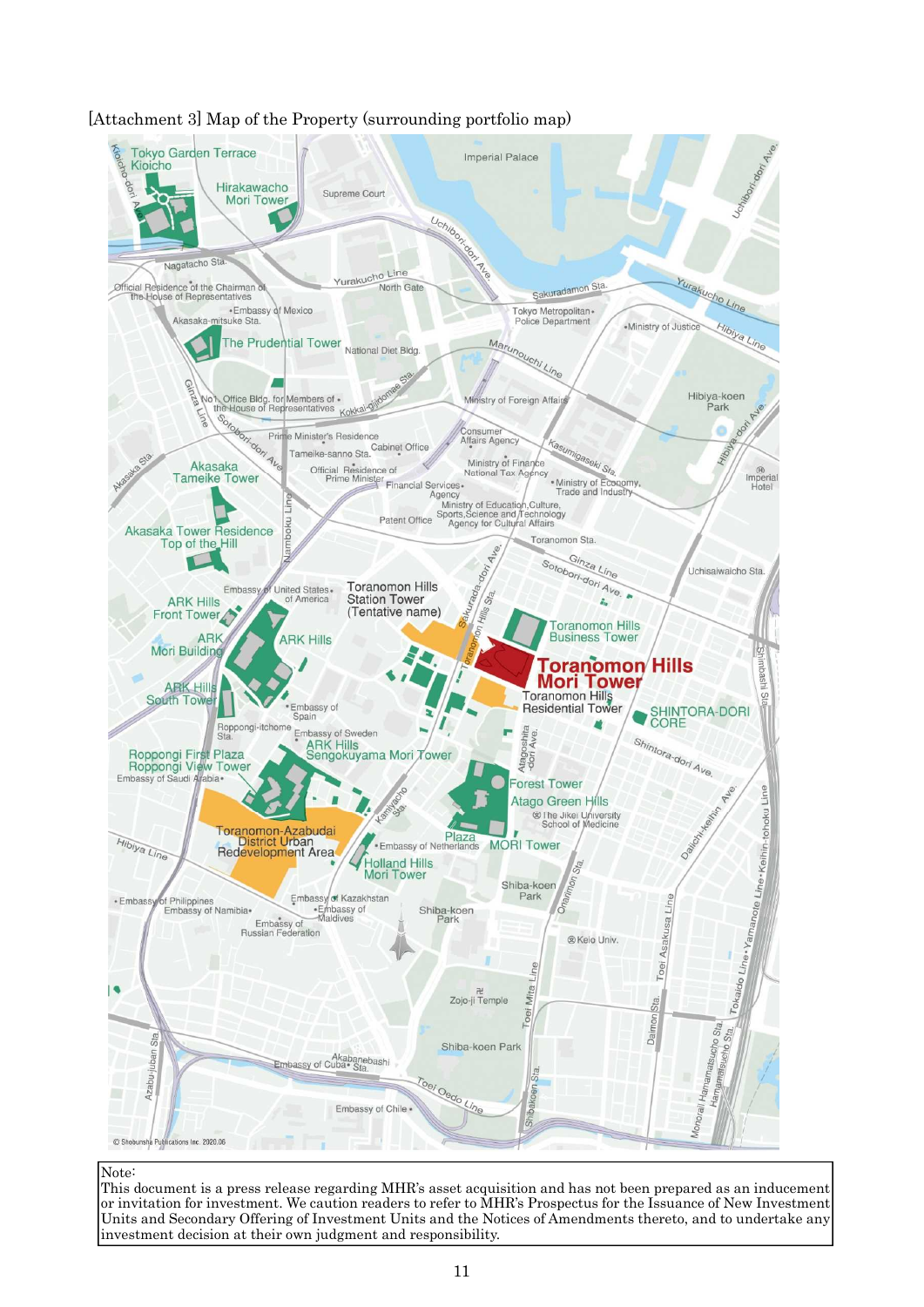

### [Attachment 3] Map of the Property (surrounding portfolio map)

#### Note: